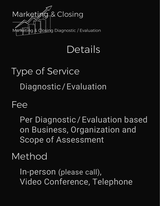

## Details

# Type of Service Diagnostic / Evaluation

#### Fee

Per Diagnostic/Evaluation based on Business, Organization and Scope of Assessment

#### Method

In-person (please call), Video Conference, Telephone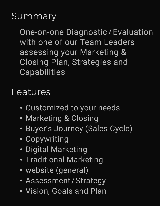#### **Summary**

One-on-one Diagnostic / Evaluation with one of our Team Leaders assessing your Marketing & Closing Plan, Strategies and **Capabilities** 

#### Features

- Customized to your needs
- Marketing & Closing
- Buyer's Journey (Sales Cycle)
- Copywriting
- Digital Marketing
- Traditional Marketing
- website (general)
- Assessment / Strategy
- Vision, Goals and Plan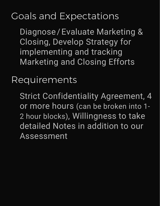### Goals and Expectations

Diagnose / Evaluate Marketing & Closing, Develop Strategy for implementing and tracking Marketing and Closing Efforts

Requirements

Strict Confidentiality Agreement, 4 or more hours (can be broken into 1- 2 hour blocks), Willingness to take detailed Notes in addition to our Assessment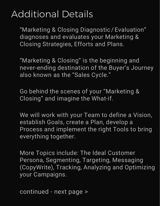#### Additional Details

"Marketing & Closing Diagnostic / Evaluation" diagnoses and evaluates your Marketing & Closing Strategies, Efforts and Plans.

"Marketing & Closing" is the beginning and never-ending destination of the Buyer's Journey also known as the "Sales Cycle."

Go behind the scenes of your "Marketing & Closing" and imagine the What-if.

We will work with your Team to define a Vision, establish Goals, create a Plan, develop a Process and implement the right Tools to bring everything together.

More Topics include: The Ideal Customer Persona, Segmenting, Targeting, Messaging (CopyWrite), Tracking, Analyzing and Optimizing your Campaigns.

continued - next page >